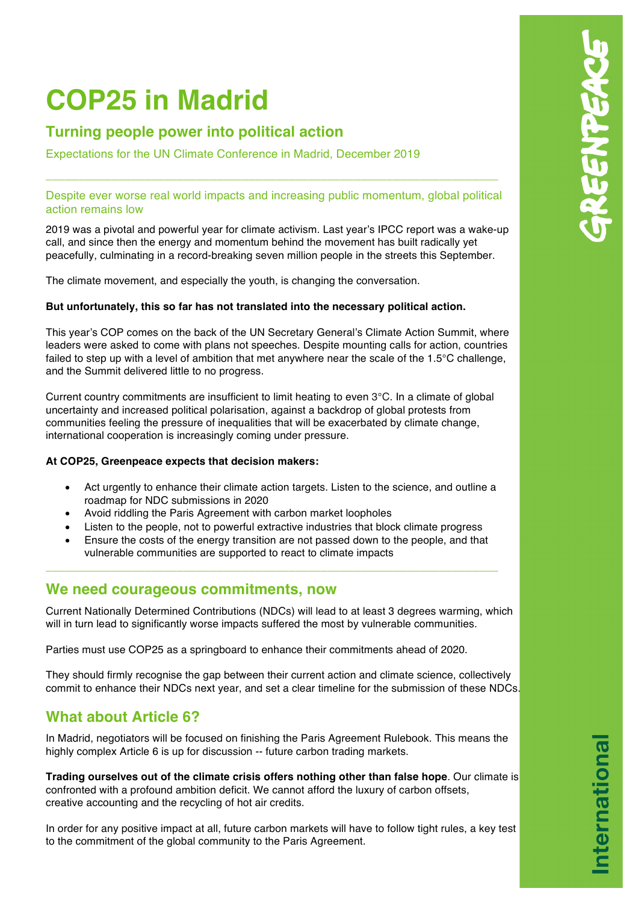# **COP25 in Madrid**

# **Turning people power into political action**

Expectations for the UN Climate Conference in Madrid, December 2019

## Despite ever worse real world impacts and increasing public momentum, global political action remains low

\_\_\_\_\_\_\_\_\_\_\_\_\_\_\_\_\_\_\_\_\_\_\_\_\_\_\_\_\_\_\_\_\_\_\_\_\_\_\_\_\_\_\_\_\_\_\_\_\_\_\_\_\_\_\_\_\_\_\_\_\_\_\_\_\_\_\_\_\_

2019 was a pivotal and powerful year for climate activism. Last year's IPCC report was a wake-up call, and since then the energy and momentum behind the movement has built radically yet peacefully, culminating in a record-breaking seven million people in the streets this September.

The climate movement, and especially the youth, is changing the conversation.

## **But unfortunately, this so far has not translated into the necessary political action.**

This year's COP comes on the back of the UN Secretary General's Climate Action Summit, where leaders were asked to come with plans not speeches. Despite mounting calls for action, countries failed to step up with a level of ambition that met anywhere near the scale of the 1.5°C challenge. and the Summit delivered little to no progress.

Current country commitments are insufficient to limit heating to even 3°C. In a climate of global uncertainty and increased political polarisation, against a backdrop of global protests from communities feeling the pressure of inequalities that will be exacerbated by climate change, international cooperation is increasingly coming under pressure.

## **At COP25, Greenpeace expects that decision makers:**

- Act urgently to enhance their climate action targets. Listen to the science, and outline a roadmap for NDC submissions in 2020
- Avoid riddling the Paris Agreement with carbon market loopholes
- Listen to the people, not to powerful extractive industries that block climate progress
- Ensure the costs of the energy transition are not passed down to the people, and that vulnerable communities are supported to react to climate impacts

\_\_\_\_\_\_\_\_\_\_\_\_\_\_\_\_\_\_\_\_\_\_\_\_\_\_\_\_\_\_\_\_\_\_\_\_\_\_\_\_\_\_\_\_\_\_\_\_\_\_\_\_\_\_\_\_\_\_\_\_\_\_\_\_\_\_\_\_\_

## **We need courageous commitments, now**

Current Nationally Determined Contributions (NDCs) will lead to at least 3 degrees warming, which will in turn lead to significantly worse impacts suffered the most by vulnerable communities.

Parties must use COP25 as a springboard to enhance their commitments ahead of 2020.

They should firmly recognise the gap between their current action and climate science, collectively commit to enhance their NDCs next year, and set a clear timeline for the submission of these NDCs.

## **What about Article 6?**

In Madrid, negotiators will be focused on finishing the Paris Agreement Rulebook. This means the highly complex Article 6 is up for discussion -- future carbon trading markets.

**Trading ourselves out of the climate crisis offers nothing other than false hope**. Our climate is confronted with a profound ambition deficit. We cannot afford the luxury of carbon offsets, creative accounting and the recycling of hot air credits.

In order for any positive impact at all, future carbon markets will have to follow tight rules, a key test to the commitment of the global community to the Paris Agreement.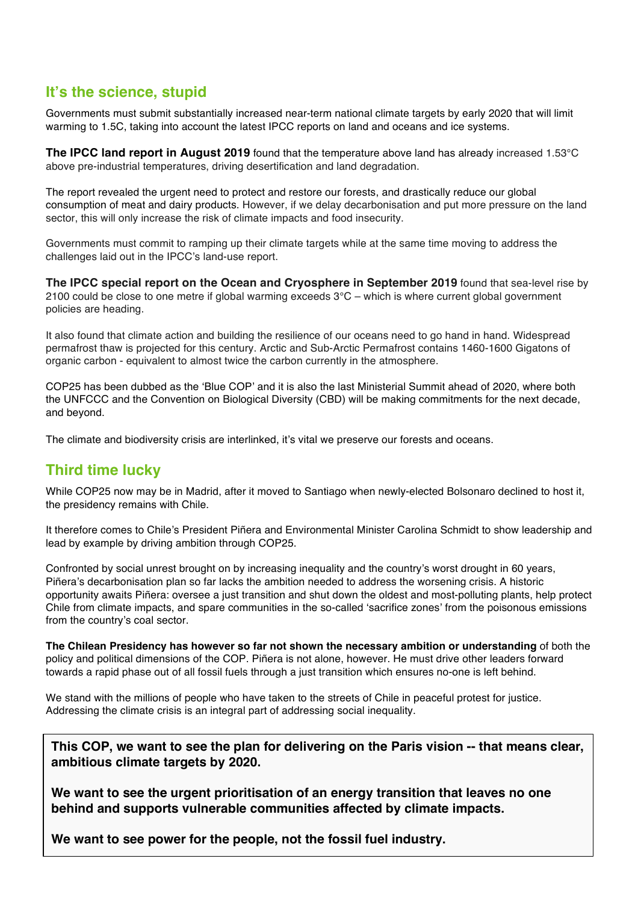## **It's the science, stupid**

Governments must submit substantially increased near-term national climate targets by early 2020 that will limit warming to 1.5C, taking into account the latest IPCC reports on land and oceans and ice systems.

**The IPCC land report in August 2019** found that the temperature above land has already increased 1.53°C above pre-industrial temperatures, driving desertification and land degradation.

The report revealed the urgent need to protect and restore our forests, and drastically reduce our global consumption of meat and dairy products. However, if we delay decarbonisation and put more pressure on the land sector, this will only increase the risk of climate impacts and food insecurity.

Governments must commit to ramping up their climate targets while at the same time moving to address the challenges laid out in the IPCC's land-use report.

**The IPCC special report on the Ocean and Cryosphere in September 2019** found that sea-level rise by 2100 could be close to one metre if global warming exceeds 3°C – which is where current global government policies are heading.

It also found that climate action and building the resilience of our oceans need to go hand in hand. Widespread permafrost thaw is projected for this century. Arctic and Sub-Arctic Permafrost contains 1460-1600 Gigatons of organic carbon - equivalent to almost twice the carbon currently in the atmosphere.

COP25 has been dubbed as the 'Blue COP' and it is also the last Ministerial Summit ahead of 2020, where both the UNFCCC and the Convention on Biological Diversity (CBD) will be making commitments for the next decade, and beyond.

The climate and biodiversity crisis are interlinked, it's vital we preserve our forests and oceans.

## **Third time lucky**

While COP25 now may be in Madrid, after it moved to Santiago when newly-elected Bolsonaro declined to host it, the presidency remains with Chile.

It therefore comes to Chile's President Piñera and Environmental Minister Carolina Schmidt to show leadership and lead by example by driving ambition through COP25.

Confronted by social unrest brought on by increasing inequality and the country's worst drought in 60 years, Piñera's decarbonisation plan so far lacks the ambition needed to address the worsening crisis. A historic opportunity awaits Piñera: oversee a just transition and shut down the oldest and most-polluting plants, help protect Chile from climate impacts, and spare communities in the so-called 'sacrifice zones' from the poisonous emissions from the country's coal sector.

**The Chilean Presidency has however so far not shown the necessary ambition or understanding** of both the policy and political dimensions of the COP. Piñera is not alone, however. He must drive other leaders forward towards a rapid phase out of all fossil fuels through a just transition which ensures no-one is left behind.

We stand with the millions of people who have taken to the streets of Chile in peaceful protest for justice. Addressing the climate crisis is an integral part of addressing social inequality.

**This COP, we want to see the plan for delivering on the Paris vision -- that means clear, ambitious climate targets by 2020.**

**We want to see the urgent prioritisation of an energy transition that leaves no one behind and supports vulnerable communities affected by climate impacts.**

**We want to see power for the people, not the fossil fuel industry.**